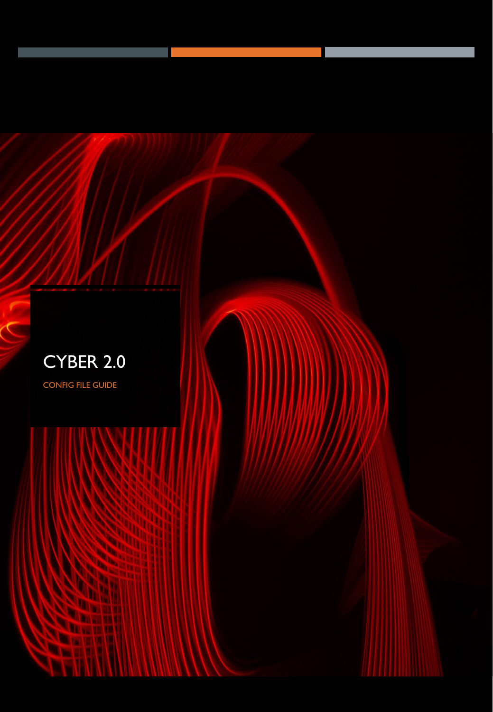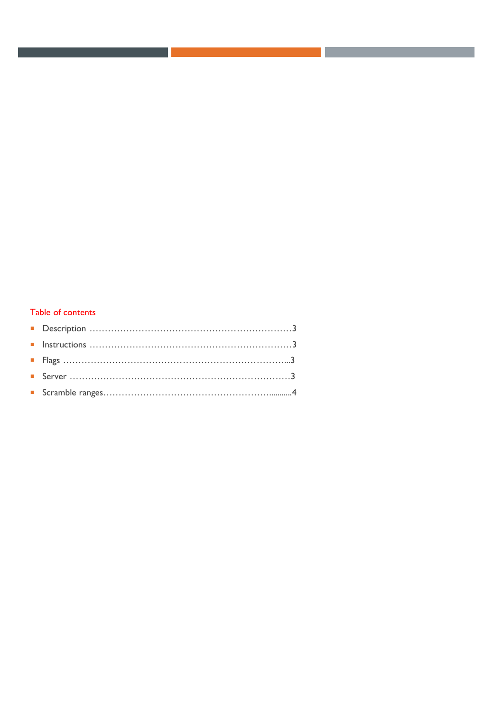## Table of contents

. .

the control of the control of the control of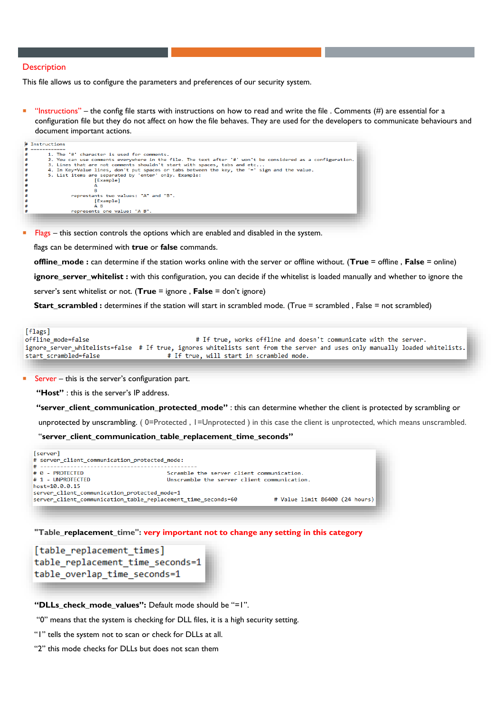## **Description**

This file allows us to configure the parameters and preferences of our security system.

 "Instructions" – the config file starts with instructions on how to read and write the file . Comments (#) are essential for a configuration file but they do not affect on how the file behaves. They are used for the developers to communicate behaviours and document important actions.

| # Instructions                                                                                             |
|------------------------------------------------------------------------------------------------------------|
| --------                                                                                                   |
| 1. The '#' character is used for comments.                                                                 |
| 2. You can use comments everywhere in the file. The text after '#' won't be considered as a configuration. |
| 3. Lines that are not comments shouldn't start with spaces, tabs and etc                                   |
| 4. In Key=Value lines, don't put spaces or tabs between the key, the '=' sign and the value.               |
| 5. List items are separated by 'enter' only. Example:                                                      |
| [Example]                                                                                                  |
|                                                                                                            |
|                                                                                                            |
| represtants two values: "A" and "B".                                                                       |
| [Example]                                                                                                  |
| A B                                                                                                        |
| represents one value: "A B".                                                                               |
|                                                                                                            |

Flags – this section controls the options which are enabled and disabled in the system.

flags can be determined with **true** or **false** commands.

**offline\_mode :** can determine if the station works online with the server or offline without. (**True** = offline , **False** = online)

**ignore\_server\_whitelist :** with this configuration, you can decide if the whitelist is loaded manually and whether to ignore the

server's sent whitelist or not. (**True** = ignore , **False** = don't ignore)

**Start\_scrambled :** determines if the station will start in scrambled mode. (True = scrambled , False = not scrambled)

[flags] # If true, works offline and doesn't communicate with the server. offline mode=false ignore\_server\_whitelists=false # If true, ignores whitelists sent from the server and uses only manually loaded whitelists. start\_scrambled=false # If true, will start in scrambled mode.

Server – this is the server's configuration part.

**"Host"** : this is the server's IP address.

**"server\_client\_communication\_protected\_mode"** : this can determine whether the client is protected by scrambling or

unprotected by unscrambling. ( 0=Protected , 1=Unprotected ) in this case the client is unprotected, which means unscrambled.

"**server\_client\_communication\_table\_replacement\_time\_seconds"**



**"Table\_replacement\_time": very important not to change any setting in this category**

[table replacement times] table replacement time seconds=1 table\_overlap\_time\_seconds=1

**"DLLs\_check\_mode\_values":** Default mode should be "=1".

"0" means that the system is checking for DLL files, it is a high security setting.

"1" tells the system not to scan or check for DLLs at all.

"2" this mode checks for DLLs but does not scan them